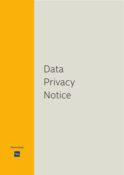# Data Privacy Notice

**PIRAEUS BANK** 

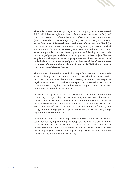

The Public Limited Company (Bank) under the company name "**Piraeus Bank S.A.**", which has its registered head office in Athens (4 Amerikis Str.), VAT No.: 094014298, Tax Office: Athens Tax Office for Commercial Companies (FAEE), General Commercial Registry (GEMI) No.: 225501000, in its capacity as the **Controller of Personal Data**, hereinafter referred to as the "**Bank**", in the context of the General Data Protection Regulation (EU) 2016/679 which shall enter into force on **25/05/2018**, hereinafter referred to as the "GDPR", as currently applicable, shall hereby provide the following update on the processing of your personal data and your rights as the data subject. The new Regulation shall replace the existing legal framework on the protection of individuals from the processing of personal data. **As of the aforementioned date, any reference in the provisions of Law no. 2472/1997 shall refer to the provisions of the new "GDPR"**.

This update is addressed to individuals who perform any transaction with the Bank, including but not limited to Customers who have maintained a permanent relationship with the Bank or passing Customers, their respective legal representatives, as well as their special or universal successors, to representatives of legal persons and to any natural person who has business relations with the Bank in any capacity.

Personal data processing is the collection, recording, organisation, structuring, storage, adaptation or alteration, retrieval, consultation, use, transmission, restriction or erasure of personal data which was or will be brought to the attention of the Bank, either as part of your business relations with it or as part of any update which is received by the Bank from any third party, a natural or legal person or public sector body, while exercising a legal right of their own or the Bank.

In compliance with the current legislative framework, the Bank has taken all steps required, by implementing all appropriate technical and organizational measures for the lawful adherence, processing and safe retention of personal data files, and is committed to ensure and protect in every way the processing of your personal data against any loss or leakage, alteration, transfer or any other unlawful processing.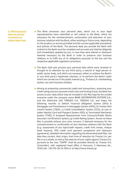

**A. Which personal data we process and where we collect them from**

- The Bank processes your personal data, which you or your legal representatives have submitted or will submit to the Bank, which are necessary for the commencement, continuation and execution of your business relations with the Bank, either existing or future ones, depending on the product or service provided and the current applicable procedures and policies of the Bank. The personal data you provide the Bank with /submit to the Bank must be complete and accurate and shall be diligently and immediately updated by you, in case they were altered or whenever deemed necessary by the Bank in order to preserve your business relations or to fulfil any of its obligations pursuant to the law and the respective applicable regulatory provisions.
- $\blacksquare$  The Bank shall also process your personal data which were received or brought to its attention by any third party, a natural or legal person or public sector body, and which are necessary either to achieve the Bank's or any third party's legitimate interests, or to perform the Bank's tasks which are carried out in the public interest (e.g., Tiresias S.A. interbanking system, tax and insurance bodies).
- Aiming at protecting commercial credit and transactions, assessing your credit rating and any assumed credit risks and limiting fraud, the Bank has access to your data which may be included in the files kept by the societe anonyme under the company name BANK INFORMATION SYSTEMS S.A., and the distinctive title TIRESIAS S.A. TIRESIAS S.A. and keeps the following records: a) Default Financial Obligation System (DFO) & Mortgages and Prenotations to Mortgages System (MPS); b) Tiresias Risk Control System (TSEK); c) Credit Consolidation System (CCS); d) Lost or stolen Identity Card and Passport System (IPS); e) Terminated Merchants System (TMS); f) Assigned Requirements from Contracts/Public Works Execution Certifications System; g) Credit Rating System. Access to these files is possible without your prior consent, if deemed necessary for the commencement or continuation of your business relations with the Bank (e.g. assessment of any loan/credit request, credit limit review, cheque book issuance, POS credit card payment acceptance and clearance agreement). Detailed information regarding the aforementioned files, the data they contain, their origin, their time of retention by Tiresias S.A. per file or as a whole, as well as the exercise of your rights against Tiresias S.A. pursuant to the new "GDPR" shall be provided directly by Tiresias S.A. (Controller), with registered head office in Maroussi, 2 Alamanas Str., 15125 (tel. +30 210-36.76.700) or at http://www.tiresias.gr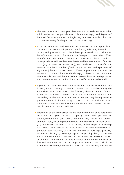

- $\blacksquare$  The Bank may also process your data which it has collected from other third parties, such as publicly accessible sources (e.g., Land Registries/ National Cadastre, Commercial Registries, Internet), provided that said data are necessary for the purposes of the processing.
- In order to initiate and continue its business relationship with its Customers and to open a deposit account for any individual, the Bank shall collect and process at least the following personal data: Full name, father's name, details of identity card/passport or any other official identification document, permanent residence, home address, correspondence address, business details and business address, financial data (e.g. income tax assessment), tax residence, tax identification number, telephone number (fixed and/or mobile) and specimen of signature (physical or electronic). Where appropriate, you may be requested to submit additional details (e.g., professional card or student identity card), provided that these data are considered as prerequisite for the commencement or continuation of a specific business relationship.
- If you do not have a customer code in the Bank, for the execution of any banking transaction (e.g. payment transaction at the cashier desk), the Bank shall collect and process the following data: Full name, father's name and telephone number, while for transactions in cash and depending on the amount of the transaction, you may be requested to provide additional identity card/passport data or data included in any other official identification document, tax identification number, business details, home and business address.
- $\blacksquare$  Depending on the product/service provided by the Bank or as part of the evaluation of your financial capacity with the purpose of settling/restructuring your debts, the Bank may collect and process additional data, including but not limited to the following: financial details (e.g., tax returns, income tax assessments, Unified Property Ownership Tax-ENFIA, sole proprietorship financial details) or other income sources, property asset valuation, data of the financed or mortgaged property, insurance policies (e.g., coverage against Fire/Earthquakes), data of the Record and Securities Account with the DSS of the ELKAT by HELEX, as well as additional information – as part of implementing the current rules on financial instruments markets. As regards insurance products which are made available through the Bank as Insurance Intermediary, you will be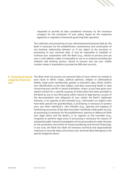

requested to provide all data considered necessary by the insurance company for the conclusion of your policy, based on the respective legislative or regulatory framework governing their operation.

The collection and processing of your aforementioned personal data by the Bank is necessary for the establishment, maintenance and continuation of any business relationship between us. If you object to the provision or processing of your personal data, it may be impossible to establish or continue your cooperation with the Bank (e.g., refusal to process and use your e-mail address makes it impossible to use or to continue providing the winbank web banking service, refusal to process and use your mobile number makes it impossible to provide the SMS alert service).

## **categories of personal data**

B. Processing of special The Bank shall not process any personal data of yours which are related to your racial or ethnic origin, political opinions, religion or philosophical beliefs, trade union membership, genetic or biometric data, which confirm your identification as the data subject, and data concerning health or data concerning your sex life or sexual orientation, unless: a) you have given your explicit consent for a specific purpose; b) these data have been provided to the Bank by you or any third party, either natural or legal person, as part of the documentation and safeguard of your and/or the Bank's legitimate interests, in its capacity as the controller (e.g., information on subjects who have been placed into quardianship); c) processing is necessary to protect your, any other individual's, vital interests (e.g., opening and keeping of fundraising accounts); d) the data have been manifestly made public by you; e) processing is necessary for the establishment, exercise or defence of both your legal claims and the Bank's, in its capacity as the controller (e.g., incapacity to perform legal acts); f) processing is necessary for reasons of substantial public interest (investigation of any persecuted act under the laws on the prevention and control of money laundering and terrorist financing). In any case, the Bank has taken all necessary technical and organizational measures to securely keep and process your personal data belonging to the special categories above.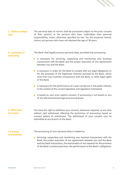

#### **C. Children-related data** The personal data of minors shall be processed subject to the prior consent of their parents or the persons who have undertaken their parental responsibility, unless otherwise specified by law. For the purposes hereof, minors are persons who have not attained the age of 18 years.

**D. Lawfulness of processing**

The Bank shall legally process personal data, provided that processing:

- **I** Is necessary for servicing, supporting and monitoring your business transactions with the Bank and the proper execution of any agreements between you and the Bank.
- $\blacksquare$  Is necessary in order for the Bank to comply with any legal obligations or for the purposes of the legitimate interests pursued by the Bank, which arise from your business transactions with the Bank, or other legal rights of the Bank.
- $\blacksquare$  Is necessary for the performance of a task carried out in the public interest, in the context of the current legislative and regulatory framework.
- Is based on your prior explicit consent, if processing is not based on any of the aforementioned legal processing bases.

**Ε. Withdrawal of consent**

You have the right to withdraw your consent, whenever required, at any time without said withdrawal affecting the lawfulness of processing based on consent before its withdrawal. The withdrawal of your consent may be submitted at any branch of the Bank.

### **F. Purposes of processing**

The processing of your personal data is related to:

Servicing, supporting and monitoring your business transactions with the Bank, the proper execution of any agreements between you and the Bank and any bank transactions, the examination of any requests for the provision of the Bank's products/services, the performance of the Bank's obligations,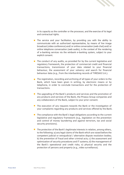

in its capacity as the controller or the processor, and the exercise of its legal and contractual rights.

- The service and your facilitation, by providing you with the ability to communicate with an authorized representative, by means of live image broadcast (video conference) and/ or online conversation (web chat) and/ or online telephone conversation (web audio), in the context of the rendering of e-banking services via the winbank e-banking system, subject to your explicit consent.
- $\blacksquare$  The conduct of any audits, as provided for by the current legislative and regulatory framework, the protection of commercial credit and financial transactions, transmission of your data related to your financial behaviour, the assessment of your solvency and search for financial behaviour data (e.g., from the interbanking records of TIRESIAS S.A.).
- $\blacksquare$  The registration, recording and archiving of all types of your orders to the Bank, which have been given in writing, by electronic means or by telephone, in order to conclude transactions and for the protection of transactions.
- The upgrading of the Bank's products and services and the promotion of any products and services of the Bank, the Piraeus Group companies and any collaborators of the Bank, subject to your prior consent.
- $\blacksquare$  The execution of any requests towards the Bank or the investigation of your complaints regarding any products and services offered by the Bank.
- $\blacksquare$  The compliance with the Bank's legal obligations according to the current legislative and regulatory framework (e.g., legislation on the prevention and control of money laundering and against terrorism, tax and social security provisions).
- $\blacksquare$  The protection of the Bank's legitimate interests in relation, among others, to the following: a) any legal claims of the Bank which are raised before the competent judicial or extrajudicial / alternative dispute resolution bodies; b) the prevention of fraud and other criminal acts; c) the assessment and optimization of security procedures and IT systems; d) the management of the Bank's operational and credit risks; e) physical security and the protection of persons and property (e.g., video surveillance).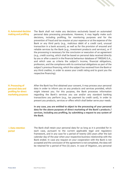

## **G. Automated decision making and profiling**

The Bank shall not make any decisions exclusively based on automated personal data processing procedures. However, it may legally make such decisions, including profiling, for monitoring purposes and for the prevention of fraud and tax evasion at your expense or at the expense of the Bank or any third party (e.g., malicious debit of a credit card, unusual transaction in a bank account), as well as for the provision of ensured and reliable services by the Bank (e.g., investment products and services), or if the processing is necessary for the conclusion or execution of an agreement (e.g., credit scoring, which shall be based on personal data received directly by you or after a search in the financial behaviour database of TIRESIAS S.A., and which uses as criteria the subject's income, financial obligations, profession, and the compliance with its contractual obligations as part of the subject's previous financing, which the subject has received from the Bank or any third creditor, in order to assess your credit rating and to grant you the respective financing).

## **H. Processing of personal data and profiling for direct marketing purposes**

After the Bank has first obtained your consent, it may process your personal data in order to inform you on any products and services provided, which might interest you. For this purpose, the Bank processes information regarding the Bank's services you use and/or any standard banking transactions you perform (e.g., tax payment by credit card), in order to present you products, services or offers which shall better serve your needs.

**In any case, you are entitled to object to the processing of your personal data for the above purposes of direct marketing of the Bank's products / services, including any profiling, by submitting a request to any system of the Bank.**

#### **I. Data retention period** The Bank shall retain your personal data for as long as it is provided for in each case, pursuant to the current applicable legal and regulatory framework, and in any case for a period of twenty (20) years after the last calendar day of the year when your respective business relationship with the Bank ended. In case any request on your cooperation with the Bank is not accepted and the conclusion of the agreement is not completed, the data will be retained for a period of five (5) years. In case of litigation, any personal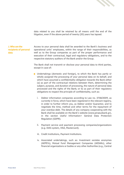

data related to you shall be retained by all means until the end of the litigation, even if the above period of twenty (20) years has lapsed.

#### **J. Who are the recipients of personal data** Access to your personal data shall be awarded to the Bank's business and operational units' employees, within the range of their responsibilities, as well as to the Group companies as part of the proper performance and execution of their contractual, legal and regulatory obligations, and to the respective statutory auditors of the Bank and/or the Group.

The Bank shall not transmit or disclose your personal data to third parties, except in case of:

- Undertakings (domestic and foreign), to which the Bank has partly or wholly assigned the processing of your personal data on its behalf, and which have assumed a confidentiality obligation towards the Bank either (a) as part of the contractual relations between them, determining the subject, purpose, and duration of processing, the nature of personal data processed and the rights of the Bank; or b) as part of their regulatory obligations to respect the principle of confidentiality, such as:
	- Debtor information companies according to Law no. 3758/2009, as currently in force, which have been registered in the relevant registry, in order to further inform you, as Debtor and/or Guarantor, and to negotiate the time, method and other terms for the repayment of your overdue debt. The details of any company cooperating with the Bank shall be available on the Bank's website (www.piraeusbank.gr), in the section Useful Information> General Data Protection Regulation (GDPR). i.
	- ii. Payment service and payment processing companies/organizations (e.g. DIAS system, VISA, Mastercard).
	- iii. Credit Institutions, Payment Institutions.
	- iv. Associated undertakings, such as: Investment societes anonymes (AEPEYs), Mutual Fund Management Companies (AEDAKs), other financial organizations or bodies or any other Authorities (e.g., Central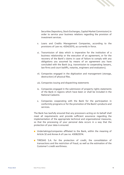

Securities Depository, Stock Exchanges, Capital Market Commission) in order to service your business relations regarding the provision of investment services.

- v. Loans and Credits Management Companies, according to the provisions of Law no. 4354/2015, as currently in force.
- vi. Transmission of data which is imperative for the institution of a business relationship or the execution of an agreement, or for the recovery of the Bank's claims in case of failure to comply with any obligations you assumed by means of an agreement you have concluded with the Bank (e.g. transmission to cooperating lawyers, law firms and court bailiffs, notaries, engineers and evaluators).
- vii. Companies engaged in the digitization and management (storage, destruction) of physical files.
- viii. Companies issuing and dispatching statements
- ix. Companies engaged in the submission of property rights statements of the Bank in regions which have been or shall be included in the National Cadastre.
- Companies cooperating with the Bank for the participation in x.conformity programs or for the promotion of the Bank's products and services.

The Bank has lawfully ensured that any processors acting on its behalf shall meet all requirements and provide sufficient assurance regarding the implementation of the appropriate technical and organizational measures, so that the processing of your personal data occurs in a way that the protection of your data is ensured.

- **D** Undertakings/companies affiliated to the Bank, within the meaning of Article 32 and Annex A of Law no. 4308/2014.
- **TIRESIAS S.A.** for the protection of credit, the consolidation of transactions and the restriction of fraud, as well as the estimation of the Customer's credit worthiness.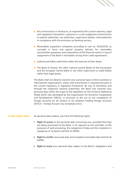

- **Any transmission or disclosure, as required by the current statutory, legal** and regulatory framework in general or a court judgement (transmission to judicial authorities, tax authorities, supervisory bodies, intermediaries) in compliance with the provisions on banking secrecy.
- Receivables acquisition companies according to Law no. 4354/2015, as currently in force and special purpose vehicles for receivables securitization purposes, and corporations of the financial sector in case of assignment of the Bank's receivables arising from credit agreements.
- $\blacksquare$  Judicial and Public authorities within the exercise of their duties.
- The Bank of Greece, the other national central Banks of the Eurosystem and the European Central Bank or any other supervisory or audit bodies within their legal duties.

The Bank shall not directly transmit your personal data to third countries or international organizations, unless said transmission is required pursuant to the current regulatory or legislative framework. By way of illustration and through the respective national authorities, the Bank may transmit your personal data within the scope of the legislation on the Common Reference Model which was developed by the Organization for Economic Cooperation and Development (OECD), or pursuant to the act on tax compliance of foreign accounts by US citizens or US residents holding foreign accounts (FATCA – Foreign Account Tax Compliance Act).

#### **K. Data subject rights** As personal data subject, you have the following rights:

- 1. **Right of access** to the personal data concerning you, provided that they are being processed by the Bank, in its capacity as the controller, to the purposes of said processing, the categories of data and the recipients or categories of recipients (Article 15 GDPR).
- 2. **Right to rectify** inaccurate data and complete incomplete data (Article 16 GDPR).
- 3. **Right to erase** your personal data subject to the Bank's obligations and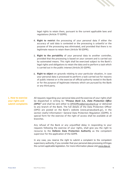

legal rights to retain them, pursuant to the current applicable laws and regulations (Article 17 GDPR).

- 4. **Right to restrict** the processing of your personal data if either the accuracy of said data is contested or the processing is unlawful or the purpose of the processing was eliminated, and provided that there is no legitimate reason to retain them (Article 18 GDPR).
- 5. **Right to the portability** of your personal data to another controller, provided that the processing is based on your consent and is carried out by automated means. This right shall be exercised subject to the Bank's legal rights and obligations to retain the data and to perform a task which is carried out in the public interest (Article 20 GDPR).
- 6. **Right to object** on grounds relating to your particular situation, in case your personal data is processed to perform a task carried out for reasons of public interest or in the exercise of official authority vested in the Bank or for the purpose of legitimate interests which are pursued by the Bank or any third party.

## **L. How to exercise your rights and submit complaints**

All requests regarding your personal data and the exercise of your rights shall be dispatched in writing to: *"Piraeus Bank S.A., Data Protection Office (DPO)"* and shall be sent either to DPOOffice@piraeusbank.gr or delivered to any branch of the Bank. The full details of the Data Protection Officer (DPO) are posted on the Bank's website (www.piraeusbank.gr), in the section Useful Information> General Data Protection Regulation (GDPR). A special form for the exercise of the right of access shall be available at all branches.

Any refusal of the Bank or any unjustified delay in responding to your requests following the exercise of your rights, shall give you the right to recourse to the **Hellenic Data Protection Authority** as the competent supervisor for the application of the GDPR.

In any case, you reserve the right to submit a complaint to the competent supervisory authority, if you consider that your personal data processing infringes the current applicable legislation. For more information please visit www.dpa.gr